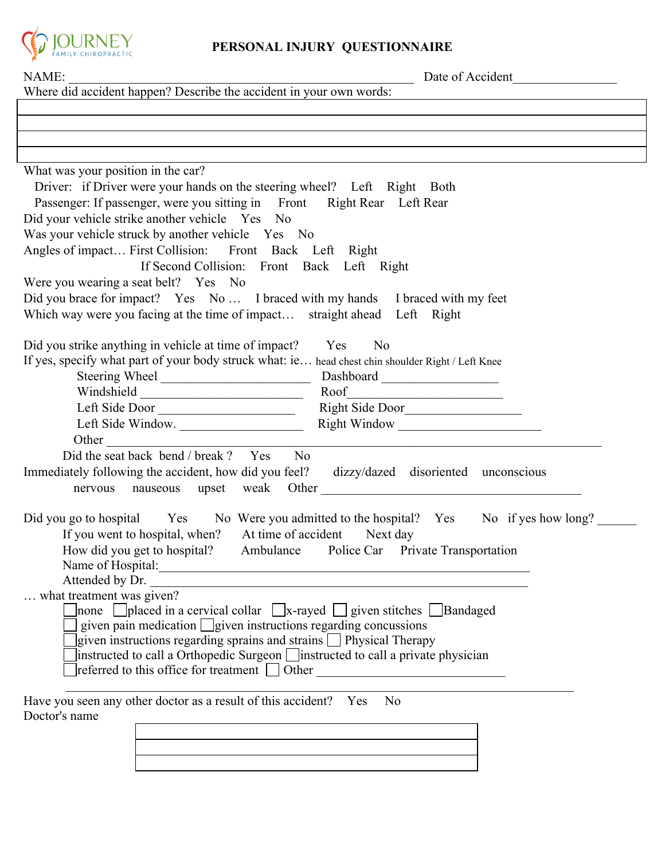

## **PERSONAL INJURY QUESTIONNAIRE**

| NAME:<br>Where did accident happen? Describe the accident in your own words:                                                                                   | Date of Accident                  |
|----------------------------------------------------------------------------------------------------------------------------------------------------------------|-----------------------------------|
|                                                                                                                                                                |                                   |
|                                                                                                                                                                |                                   |
| ,我们也不会有什么。""我们的人,我们也不会有什么?""我们的人,我们也不会有什么?""我们的人,我们也不会有什么?""我们的人,我们也不会有什么?""我们的人                                                                               |                                   |
|                                                                                                                                                                |                                   |
| What was your position in the car?                                                                                                                             |                                   |
| Driver: if Driver were your hands on the steering wheel? Left Right Both                                                                                       |                                   |
| Passenger: If passenger, were you sitting in Front Right Rear Left Rear                                                                                        |                                   |
| Did your vehicle strike another vehicle Yes No                                                                                                                 |                                   |
| Was your vehicle struck by another vehicle Yes No                                                                                                              |                                   |
| Angles of impact First Collision: Front Back Left Right                                                                                                        |                                   |
| If Second Collision: Front Back Left Right                                                                                                                     |                                   |
| Were you wearing a seat belt? Yes No                                                                                                                           |                                   |
| Did you brace for impact? Yes No I braced with my hands I braced with my feet                                                                                  |                                   |
| Which way were you facing at the time of impact straight ahead Left Right                                                                                      |                                   |
|                                                                                                                                                                |                                   |
| Did you strike anything in vehicle at time of impact?<br>Yes<br>N <sub>0</sub>                                                                                 |                                   |
| If yes, specify what part of your body struck what: ie head chest chin shoulder Right / Left Knee                                                              |                                   |
|                                                                                                                                                                |                                   |
| Windshield Roof Roof                                                                                                                                           |                                   |
|                                                                                                                                                                |                                   |
| Left Side Window.                                                                                                                                              |                                   |
|                                                                                                                                                                |                                   |
| Did the seat back bend / break ? Yes No                                                                                                                        |                                   |
| Immediately following the accident, how did you feel? dizzy/dazed disoriented unconscious                                                                      |                                   |
|                                                                                                                                                                |                                   |
|                                                                                                                                                                |                                   |
| Did you go to hospital Yes No Were you admitted to the hospital? Yes No if yes how long?                                                                       |                                   |
| If you went to hospital, when? At time of accident Next day                                                                                                    |                                   |
| How did you get to hospital? Ambulance                                                                                                                         | Police Car Private Transportation |
| Name of Hospital:<br><u> 1989 - Johann Stoff, deutscher Stoffen und der Stoffen und der Stoffen und der Stoffen und der Stoffen und der</u><br>Attended by Dr. |                                   |
| what treatment was given?                                                                                                                                      |                                   |
| ] none $\Box$ placed in a cervical collar $\Box$ x-rayed $\Box$ given stitches $\Box$ Bandaged                                                                 |                                   |
| given pain medication $\Box$ given instructions regarding concussions                                                                                          |                                   |
| given instructions regarding sprains and strains $\Box$ Physical Therapy                                                                                       |                                   |
| $\vert$ instructed to call a Orthopedic Surgeon $\vert$ instructed to call a private physician                                                                 |                                   |
| $\lceil$ referred to this office for treatment $\Box$ Other                                                                                                    |                                   |
|                                                                                                                                                                |                                   |
| Have you seen any other doctor as a result of this accident? Yes<br>N <sub>0</sub>                                                                             |                                   |
| Doctor's name                                                                                                                                                  |                                   |
|                                                                                                                                                                |                                   |
|                                                                                                                                                                |                                   |